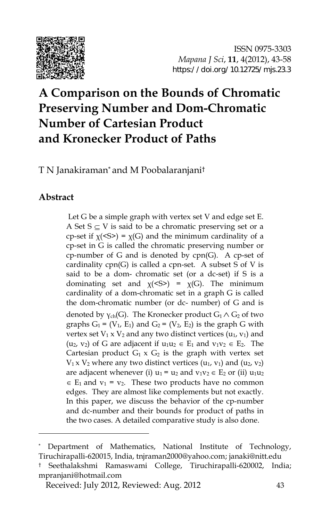

# **A Comparison on the Bounds of Chromatic Preserving Number and Dom-Chromatic Number of Cartesian Product and Kronecker Product of Paths**

T N Janakiraman\* and M Poobalaranjani†

## **Abstract**

j

Let G be a simple graph with vertex set V and edge set E. A Set  $S \subseteq V$  is said to be a chromatic preserving set or a cp-set if  $\chi$ (<S>) =  $\chi$ (G) and the minimum cardinality of a cp-set in G is called the chromatic preserving number or cp-number of G and is denoted by cpn(G). A cp-set of cardinality cpn(G) is called a cpn-set. A subset S of V is said to be a dom- chromatic set (or a dc-set) if S is a dominating set and  $\chi$ (<S>) =  $\chi$ (G). The minimum cardinality of a dom-chromatic set in a graph G is called the dom-chromatic number (or dc- number) of G and is denoted by  $\gamma_{ch}(G)$ . The Kronecker product  $G_1 \wedge G_2$  of two graphs  $G_1 = (V_1, E_1)$  and  $G_2 = (V_2, E_2)$  is the graph G with vertex set  $V_1 \times V_2$  and any two distinct vertices ( $u_1$ ,  $v_1$ ) and  $(u_2, v_2)$  of G are adjacent if  $u_1u_2 \in E_1$  and  $v_1v_2 \in E_2$ . The Cartesian product  $G_1 \times G_2$  is the graph with vertex set  $V_1$  x  $V_2$  where any two distinct vertices  $(u_1, v_1)$  and  $(u_2, v_2)$ are adjacent whenever (i)  $u_1 = u_2$  and  $v_1v_2 \in E_2$  or (ii)  $u_1u_2$  $\in$  E<sub>1</sub> and v<sub>1</sub> = v<sub>2</sub>. These two products have no common edges. They are almost like complements but not exactly. In this paper, we discuss the behavior of the cp-number and dc-number and their bounds for product of paths in the two cases. A detailed comparative study is also done.

Department of Mathematics, National Institute of Technology, Tiruchirapalli-620015, India, tnjraman2000@yahoo.com; janaki@nitt.edu

<sup>†</sup> Seethalakshmi Ramaswami College, Tiruchirapalli-620002, India; mpranjani@hotmail.com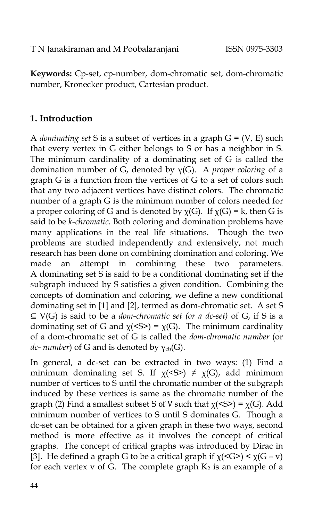**Keywords:** Cp-set, cp-number, dom-chromatic set, dom-chromatic number, Kronecker product, Cartesian product.

# **1. Introduction**

A *dominating set* S is a subset of vertices in a graph G = (V, E) such that every vertex in G either belongs to S or has a neighbor in S. The minimum cardinality of a dominating set of  $G$  is called the domination number of G, denoted by γ(G). A *proper coloring* of a graph G is a function from the vertices of G to a set of colors such that any two adjacent vertices have distinct colors. The chromatic number of a graph G is the minimum number of colors needed for a proper coloring of G and is denoted by  $\chi(G)$ . If  $\chi(G) = k$ , then G is said to be *k-chromatic.* Both coloring and domination problems have many applications in the real life situations. Though the two problems are studied independently and extensively, not much research has been done on combining domination and coloring. We made an attempt in combining these two parameters. A dominating set S is said to be a conditional dominating set if the subgraph induced by S satisfies a given condition. Combining the concepts of domination and coloring, we define a new conditional dominating set in [1] and [2], termed as dom-chromatic set. A set S ⊆ V(G) is said to be a *dom-chromatic set (or a dc-set)* of G, if S is a dominating set of G and  $\chi$ (<S>) =  $\chi$ (G). The minimum cardinality of a dom**-**chromatic set of G is called the *dom-chromatic number* (or *dc- number*) of G and is denoted by γ<sub>ch</sub>(G).

In general, a dc-set can be extracted in two ways: (1) Find a minimum dominating set S. If  $\chi$ (<S>)  $\neq \chi$ (G), add minimum number of vertices to S until the chromatic number of the subgraph induced by these vertices is same as the chromatic number of the graph (2) Find a smallest subset S of V such that  $\chi$ (<S>) =  $\chi$ (G). Add minimum number of vertices to S until S dominates G. Though a dc-set can be obtained for a given graph in these two ways, second method is more effective as it involves the concept of critical graphs. The concept of critical graphs was introduced by Dirac in [3]. He defined a graph G to be a critical graph if  $\chi$ (<G>) <  $\chi$ (G – v) for each vertex v of G. The complete graph  $K_2$  is an example of a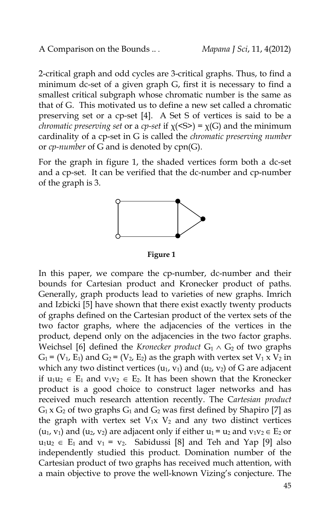2-critical graph and odd cycles are 3-critical graphs. Thus, to find a minimum dc-set of a given graph G, first it is necessary to find a smallest critical subgraph whose chromatic number is the same as that of G. This motivated us to define a new set called a chromatic preserving set or a cp-set [4]. A Set S of vertices is said to be a *chromatic preserving set* or a *cp-set* if χ(<S>) = χ(G) and the minimum cardinality of a cp-set in G is called the *chromatic preserving number* or *cp-number* of G and is denoted by cpn(G).

For the graph in figure 1, the shaded vertices form both a dc-set and a cp-set. It can be verified that the dc-number and cp-number of the graph is 3.



**Figure 1**

In this paper, we compare the cp-number, dc-number and their bounds for Cartesian product and Kronecker product of paths. Generally, graph products lead to varieties of new graphs. Imrich and Izbicki [5] have shown that there exist exactly twenty products of graphs defined on the Cartesian product of the vertex sets of the two factor graphs, where the adjacencies of the vertices in the product, depend only on the adjacencies in the two factor graphs. Weichsel [6] defined the *Kronecker product*  $G_1 \wedge G_2$  of two graphs  $G_1$  = (V<sub>1</sub>, E<sub>1</sub>) and  $G_2$  = (V<sub>2</sub>, E<sub>2</sub>) as the graph with vertex set V<sub>1</sub> x V<sub>2</sub> in which any two distinct vertices  $(u_1, v_1)$  and  $(u_2, v_2)$  of G are adjacent if  $u_1u_2 \in E_1$  and  $v_1v_2 \in E_2$ . It has been shown that the Kronecker product is a good choice to construct lager networks and has received much research attention recently. The C*artesian product*  $G_1$  x  $G_2$  of two graphs  $G_1$  and  $G_2$  was first defined by Shapiro [7] as the graph with vertex set  $V_1x$ ,  $V_2$  and any two distinct vertices  $(u_1, v_1)$  and  $(u_2, v_2)$  are adjacent only if either  $u_1 = u_2$  and  $v_1v_2 \in E_2$  or  $u_1u_2 \in E_1$  and  $v_1 = v_2$ . Sabidussi [8] and Teh and Yap [9] also independently studied this product. Domination number of the Cartesian product of two graphs has received much attention, with a main objective to prove the well-known Vizing's conjecture. The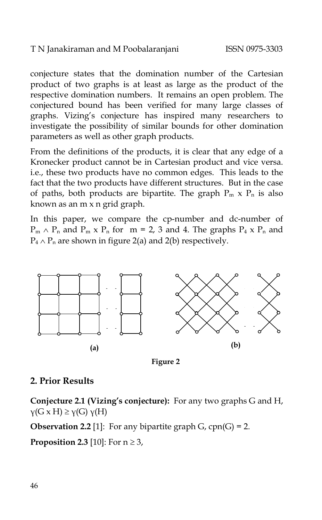conjecture states that the domination number of the Cartesian product of two graphs is at least as large as the product of the respective domination numbers. It remains an open problem. The conjectured bound has been verified for many large classes of graphs. Vizing's conjecture has inspired many researchers to investigate the possibility of similar bounds for other domination parameters as well as other graph products.

From the definitions of the products, it is clear that any edge of a Kronecker product cannot be in Cartesian product and vice versa. i.e., these two products have no common edges. This leads to the fact that the two products have different structures. But in the case of paths, both products are bipartite. The graph  $P_m \times P_n$  is also known as an m x n grid graph.

In this paper, we compare the cp-number and dc-number of  $P_m \wedge P_n$  and  $P_m \times P_n$  for  $m = 2$ , 3 and 4. The graphs  $P_4 \times P_n$  and  $P_4 \wedge P_n$  are shown in figure 2(a) and 2(b) respectively.



**Figure 2**

## **2. Prior Results**

**Conjecture 2.1 (Vizing's conjecture):** For any two graphs G and H,  $\gamma(G \times H) \geq \gamma(G) \gamma(H)$ 

**Observation 2.2** [1]: For any bipartite graph  $G$ , cpn( $G$ ) = 2.

**Proposition 2.3** [10]: For  $n \ge 3$ ,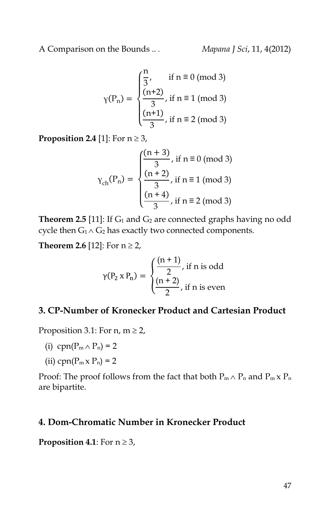$$
\gamma(P_n) = \begin{cases} \frac{n}{3}, & \text{if } n \equiv 0 \text{ (mod 3)} \\ \frac{(n+2)}{3}, & \text{if } n \equiv 1 \text{ (mod 3)} \\ \frac{(n+1)}{3}, & \text{if } n \equiv 2 \text{ (mod 3)} \end{cases}
$$

**Proposition 2.4** [1]: For  $n \ge 3$ ,

$$
Y_{\rm ch}(P_{\rm n}) = \begin{cases} \frac{(n+3)}{3}, & \text{if } n \equiv 0 \pmod{3} \\ \frac{(n+2)}{3}, & \text{if } n \equiv 1 \pmod{3} \\ \frac{(n+4)}{3}, & \text{if } n \equiv 2 \pmod{3} \end{cases}
$$

**Theorem 2.5** [11]: If  $G_1$  and  $G_2$  are connected graphs having no odd cycle then  $G_1 \wedge G_2$  has exactly two connected components.

**Theorem 2.6** [12]: For  $n \ge 2$ ,

$$
\gamma(P_2 \times P_n) = \begin{cases} \frac{(n+1)}{2}, & \text{if } n \text{ is odd} \\ \frac{(n+2)}{2}, & \text{if } n \text{ is even} \end{cases}
$$

### **3. CP-Number of Kronecker Product and Cartesian Product**

Proposition 3.1: For  $n, m \ge 2$ ,

- (i) cpn( $P_m \wedge P_n$ ) = 2
- (ii) cpn( $P_m \times P_n$ ) = 2

Proof: The proof follows from the fact that both  $P_m \wedge P_n$  and  $P_m \times P_n$ are bipartite.

### **4. Dom-Chromatic Number in Kronecker Product**

**Proposition 4.1**: For  $n \geq 3$ ,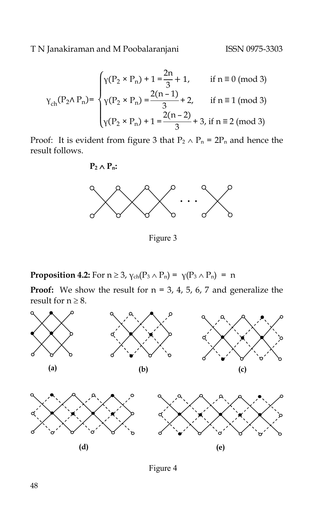$$
Y_{\rm ch}(P_2 \wedge P_n) = \begin{cases} \gamma(P_2 \times P_n) + 1 = \frac{2n}{3} + 1, & \text{if } n \equiv 0 \text{ (mod 3)}\\ Y(P_2 \times P_n) = \frac{2(n-1)}{3} + 2, & \text{if } n \equiv 1 \text{ (mod 3)}\\ Y(P_2 \times P_n) + 1 = \frac{2(n-2)}{3} + 3, \text{ if } n \equiv 2 \text{ (mod 3)} \end{cases}
$$

Proof: It is evident from figure 3 that  $P_2 \wedge P_n = 2P_n$  and hence the result follows.

## $P_2 \wedge P_n$ :



Figure 3

**Proposition 4.2:** For  $n \ge 3$ ,  $\gamma_{ch}(P_3 \wedge P_n) = \gamma(P_3 \wedge P_n) = n$ 

**Proof:** We show the result for  $n = 3$ , 4, 5, 6, 7 and generalize the result for  $n \geq 8$ .



Figure 4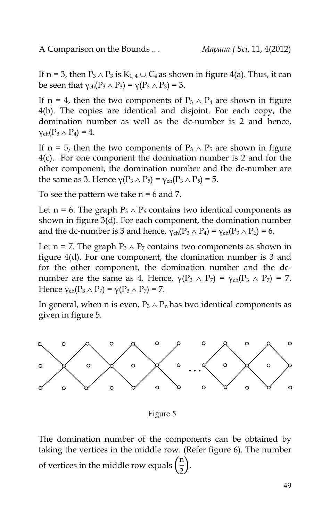If n = 3, then  $P_3 \wedge P_3$  is  $K_{1,4} \cup C_4$  as shown in figure 4(a). Thus, it can be seen that  $\gamma_{ch}(P_3 \wedge P_3) = \gamma(P_3 \wedge P_3) = 3$ .

If n = 4, then the two components of  $P_3 \wedge P_4$  are shown in figure 4(b). The copies are identical and disjoint. For each copy, the domination number as well as the dc-number is 2 and hence,  $\gamma_{ch}(P_3 \wedge P_4) = 4.$ 

If n = 5, then the two components of  $P_3 \wedge P_5$  are shown in figure 4(c). For one component the domination number is 2 and for the other component, the domination number and the dc-number are the same as 3. Hence  $\gamma(P_3 \wedge P_5) = \gamma_{ch}(P_3 \wedge P_5) = 5$ .

To see the pattern we take  $n = 6$  and 7.

Let n = 6. The graph  $P_3 \wedge P_6$  contains two identical components as shown in figure 3(d). For each component, the domination number and the dc-number is 3 and hence,  $\gamma_{ch}(P_3 \wedge P_4) = \gamma_{ch}(P_3 \wedge P_6) = 6$ .

Let n = 7. The graph  $P_3 \wedge P_7$  contains two components as shown in figure 4(d). For one component, the domination number is 3 and for the other component, the domination number and the dcnumber are the same as 4. Hence,  $\gamma(P_3 \wedge P_7) = \gamma_{ch}(P_3 \wedge P_7) = 7$ . Hence  $\gamma_{ch}(P_3 \wedge P_7) = \gamma(P_3 \wedge P_7) = 7$ .

In general, when n is even,  $P_3 \wedge P_n$  has two identical components as given in figure 5.



Figure 5

The domination number of the components can be obtained by taking the vertices in the middle row. (Refer figure 6). The number of vertices in the middle row equals  $\left(\frac{n}{2}\right)$  $\frac{1}{2}$ ).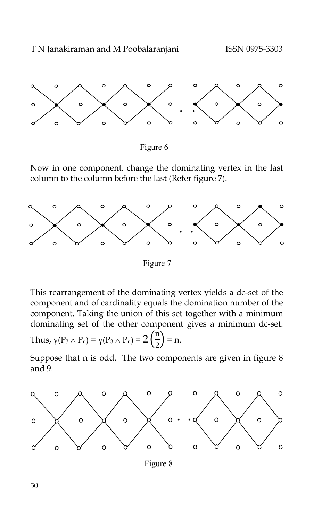



Now in one component, change the dominating vertex in the last column to the column before the last (Refer figure 7).



Figure 7

This rearrangement of the dominating vertex yields a dc-set of the component and of cardinality equals the domination number of the component. Taking the union of this set together with a minimum dominating set of the other component gives a minimum dc-set.

Thus, 
$$
\gamma(P_3 \wedge P_n) = \gamma(P_3 \wedge P_n) = 2\left(\frac{n}{2}\right) = n.
$$

Suppose that n is odd. The two components are given in figure 8 and 9.



Figure 8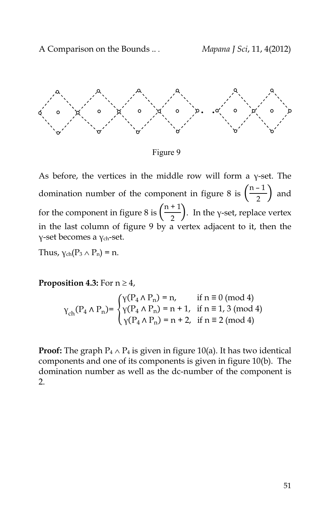

Figure 9

As before, the vertices in the middle row will form a γ-set. The domination number of the component in figure 8 is  $\left(\frac{n-1}{2}\right)$  $\frac{1}{2}$  and for the component in figure 8 is  $\left(\frac{n+1}{2}\right)$  $\left(\frac{1}{2}\right)$ . In the y-set, replace vertex in the last column of figure 9 by a vertex adjacent to it, then the γ-set becomes a γch-set.

Thus,  $\gamma_{ch}(P_3 \wedge P_n) = n$ .

**Proposition 4.3:** For  $n \geq 4$ ,

$$
\gamma_{\rm ch}(P_4 \wedge P_n) = \begin{cases} \gamma(P_4 \wedge P_n) = n, & \text{if } n \equiv 0 \pmod{4} \\ \gamma(P_4 \wedge P_n) = n + 1, & \text{if } n \equiv 1, 3 \pmod{4} \\ \gamma(P_4 \wedge P_n) = n + 2, & \text{if } n \equiv 2 \pmod{4} \end{cases}
$$

**Proof:** The graph  $P_4 \wedge P_4$  is given in figure 10(a). It has two identical components and one of its components is given in figure 10(b). The domination number as well as the dc-number of the component is 2.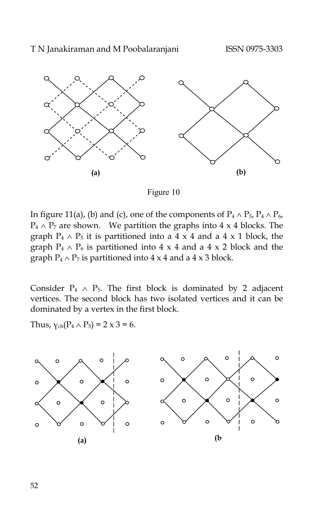

Figure 10

In figure 11(a), (b) and (c), one of the components of  $P_4 \wedge P_5$ ,  $P_4 \wedge P_6$ ,  $P_4 \wedge P_7$  are shown. We partition the graphs into 4 x 4 blocks. The graph  $P_4 \wedge P_5$  it is partitioned into a 4 x 4 and a 4 x 1 block, the graph  $P_4 \wedge P_6$  is partitioned into 4 x 4 and a 4 x 2 block and the graph  $P_4 \wedge P_7$  is partitioned into  $4 \times 4$  and a  $4 \times 3$  block.

Consider  $P_4 \wedge P_5$ . The first block is dominated by 2 adjacent vertices. The second block has two isolated vertices and it can be dominated by a vertex in the first block.

Thus,  $y_{ch}(P_4 \wedge P_5) = 2 \times 3 = 6$ .

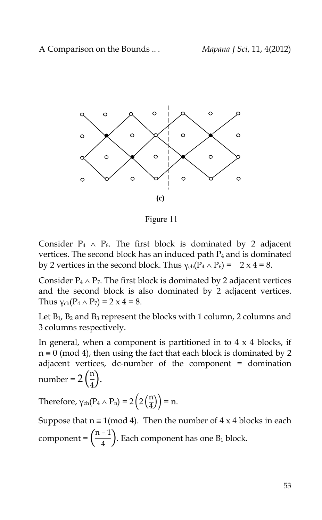

Figure 11

Consider  $P_4 \wedge P_6$ . The first block is dominated by 2 adjacent vertices. The second block has an induced path P<sub>4</sub> and is dominated by 2 vertices in the second block. Thus  $\gamma_{ch}(P_4 \wedge P_6) = 2 \times 4 = 8$ .

Consider  $P_4 \wedge P_7$ . The first block is dominated by 2 adjacent vertices and the second block is also dominated by 2 adjacent vertices. Thus  $y_{ch}(P_4 \wedge P_7) = 2 \times 4 = 8$ .

Let  $B_1$ ,  $B_2$  and  $B_3$  represent the blocks with 1 column, 2 columns and 3 columns respectively.

In general, when a component is partitioned in to  $4 \times 4$  blocks, if  $n \equiv 0 \pmod{4}$ , then using the fact that each block is dominated by 2 adjacent vertices, dc-number of the component = domination number =  $2\left(\frac{\text{n}}{4}\right)$  $\frac{1}{4}$ ).

Therefore,  $\gamma_{ch}(P_4 \wedge P_n) = 2\left(2\left(\frac{n}{4}\right)\right)$  $\binom{n}{4}$ ) = n.

Suppose that  $n \equiv 1 \pmod{4}$ . Then the number of 4 x 4 blocks in each component =  $\left(\frac{n-1}{4}\right)$  $\frac{2}{4}$ ). Each component has one B<sub>1</sub> block.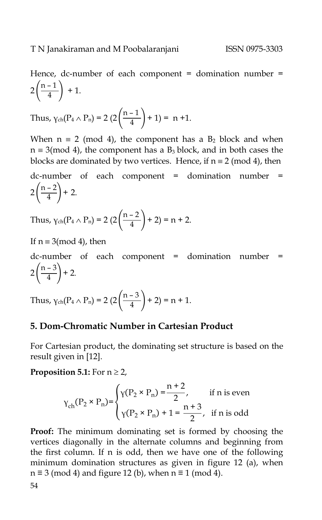Hence, dc-number of each component = domination number =  $2\left(\frac{n-1}{4}\right)$  $\frac{1}{4}$  + 1.

Thus, 
$$
\gamma_{ch}(P_4 \wedge P_n) = 2 \left(2 \left( \frac{n-1}{4} \right) + 1 \right) = n+1.
$$

When  $n \equiv 2 \pmod{4}$ , the component has a  $B_2$  block and when  $n \equiv 3 \pmod{4}$ , the component has a  $B_3$  block, and in both cases the blocks are dominated by two vertices. Hence, if  $n \equiv 2 \pmod{4}$ , then

dc-number of each component = domination number =  $2\left(\frac{n-2}{4}\right)$  $\frac{2}{4}$  + 2.

Thus, 
$$
\gamma_{ch}(P_4 \wedge P_n) = 2 \left(2 \left( \frac{n-2}{4} \right) + 2 \right) = n + 2.
$$

If  $n \equiv 3 \pmod{4}$ , then

dc-number of each component = domination number =  $2\left(\frac{n-3}{4}\right)$  $\frac{6}{4}$  + 2.

Thus,  $\gamma_{ch}(P_4 \wedge P_n) = 2 \left(2 \left( \frac{n-3}{4} \right) \right)$  $\frac{3}{4}$  + 2) = n + 1.

#### **5. Dom-Chromatic Number in Cartesian Product**

For Cartesian product, the dominating set structure is based on the result given in [12].

#### **Proposition 5.1:** For  $n \ge 2$ ,

$$
\gamma_{\rm ch}(\rm P_{2} \times \rm P_{n}) = \begin{cases} \gamma(\rm P_{2} \times \rm P_{n}) = \frac{n+2}{2}, & \text{if } n \text{ is even} \\ \gamma(\rm P_{2} \times \rm P_{n}) + 1 = \frac{n+3}{2}, & \text{if } n \text{ is odd} \end{cases}
$$

**Proof:** The minimum dominating set is formed by choosing the vertices diagonally in the alternate columns and beginning from the first column. If n is odd, then we have one of the following minimum domination structures as given in figure 12 (a), when  $n \equiv 3 \pmod{4}$  and figure 12 (b), when  $n \equiv 1 \pmod{4}$ .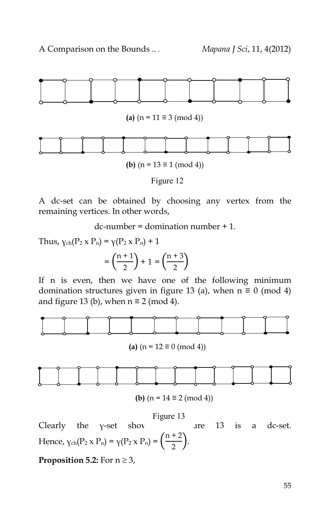

A dc-set can be obtained by choosing any vertex from the remaining vertices. In other words,

 $dc-number = domination number + 1.$ 

Thus,  $\gamma_{ch}(P_2 \times P_n) = \gamma(P_2 \times P_n) + 1$  $=\left(\frac{n+1}{2}\right)$  $\binom{+1}{2}$  + 1 =  $\binom{n+3}{2}$  $\frac{1}{2}$ 

If n is even, then we have one of the following minimum domination structures given in figure 13 (a), when  $n \equiv 0 \pmod{4}$ and figure 13 (b), when  $n \equiv 2 \pmod{4}$ .



**(a)**  $(n = 12 \equiv 0 \pmod{4}$ 



**(b)** 
$$
(n = 14 \equiv 2 \pmod{4})
$$

Clearly the  $y$ -set show are 13 is a dc-set. Hence,  $\gamma_{ch}(P_2 \times P_n) = \gamma(P_2 \times P_n) = \left(\frac{n+2}{2}\right)$  $\frac{1}{2}$ ). Figure 13

**Proposition 5.2:** For  $n \ge 3$ ,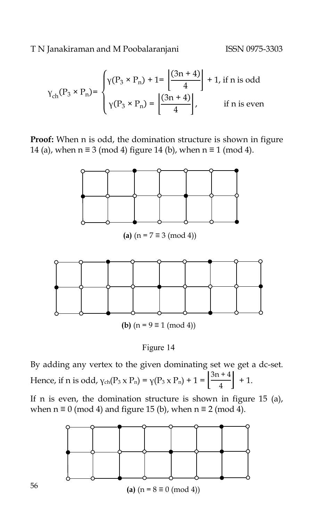$$
\gamma_{\rm ch}(\mathbf{P}_3 \times \mathbf{P}_n) = \begin{cases} \gamma(\mathbf{P}_3 \times \mathbf{P}_n) + 1 = \left[ \frac{(3n+4)}{4} \right] + 1, \text{ if } n \text{ is odd} \\ \gamma(\mathbf{P}_3 \times \mathbf{P}_n) = \left[ \frac{(3n+4)}{4} \right], \text{ if } n \text{ is even} \end{cases}
$$

**Proof:** When n is odd, the domination structure is shown in figure 14 (a), when  $n \equiv 3 \pmod{4}$  figure 14 (b), when  $n \equiv 1 \pmod{4}$ .



Figure 14

By adding any vertex to the given dominating set we get a dc-set. Hence, if n is odd,  $\gamma_{ch}(P_3 \times P_n) = \gamma(P_3 \times P_n) + 1 = \left| \frac{3n+4}{4} \right|$  $\frac{1}{4}$  + 1.

If n is even, the domination structure is shown in figure 15 (a), when  $n \equiv 0 \pmod{4}$  and figure 15 (b), when  $n \equiv 2 \pmod{4}$ .

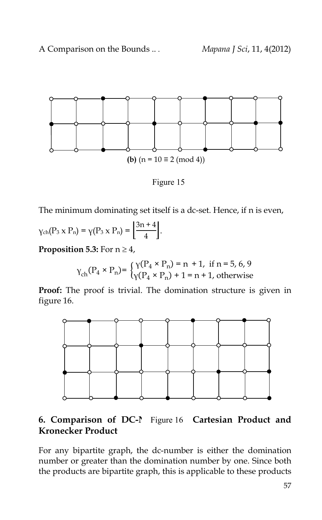

Figure 15

The minimum dominating set itself is a dc-set. Hence, if n is even,

$$
\gamma_{\rm ch}(P_3\times P_n)=\gamma(P_3\times P_n)=\left[\frac{3n+4}{4}\right].
$$

**Proposition 5.3:** For  $n \geq 4$ ,

$$
\gamma_{\rm ch}(\mathbf{P}_4 \times \mathbf{P}_n) = \begin{cases} \gamma(\mathbf{P}_4 \times \mathbf{P}_n) = n + 1, & \text{if } n = 5, 6, 9 \\ \gamma(\mathbf{P}_4 \times \mathbf{P}_n) + 1 = n + 1, & \text{otherwise} \end{cases}
$$

**Proof:** The proof is trivial. The domination structure is given in figure 16.



# **6. Comparison of DC-N** Figure 16 **Cartesian Product and Kronecker Product**

For any bipartite graph, the dc-number is either the domination number or greater than the domination number by one. Since both the products are bipartite graph, this is applicable to these products